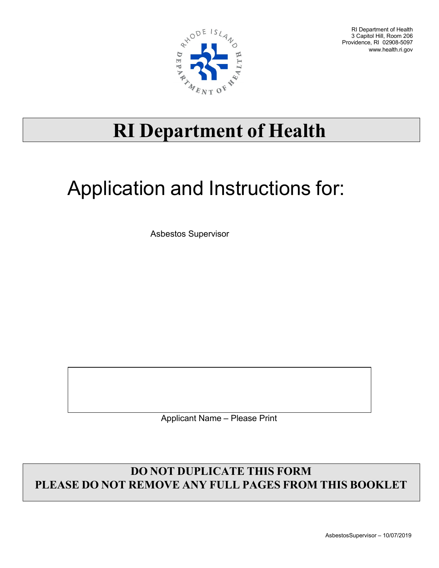

RI Department of Health 3 Capitol Hill, Room 206 Providence, RI 02908-5097 [www.health.ri.gov](http://www.health.ri.gov/)

## **RI Department of Health**

## Application and Instructions for:

Asbestos Supervisor

Applicant Name – Please Print

## **DO NOT DUPLICATE THIS FORM PLEASE DO NOT REMOVE ANY FULL PAGES FROM THIS BOOKLET**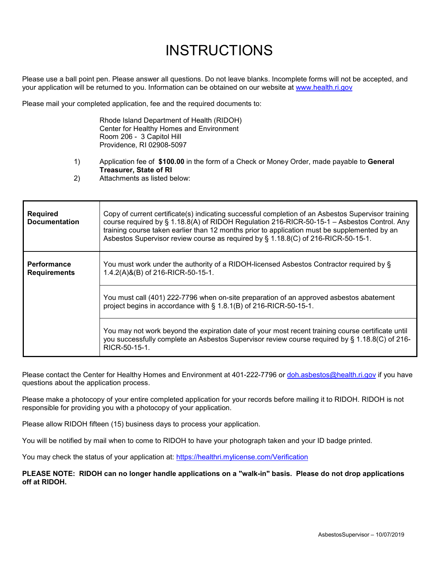## **INSTRUCTIONS**

Please use a ball point pen. Please answer all questions. Do not leave blanks. Incomplete forms will not be accepted, and your application will be returned to you. Information can be obtained on our website at [www.health.ri.gov](http://www.health.ri.gov/)

Please mail your completed application, fee and the required documents to:

Rhode Island Department of Health (RIDOH) Center for Healthy Homes and Environment Room 206 - 3 Capitol Hill Providence, RI 02908-5097

- 1) Application fee of **\$100.00** in the form of a Check or Money Order, made payable to **General Treasurer, State of RI**
- 2) Attachments as listed below:

| <b>Required</b><br><b>Documentation</b>   | Copy of current certificate(s) indicating successful completion of an Asbestos Supervisor training<br>course required by § 1.18.8(A) of RIDOH Regulation 216-RICR-50-15-1 - Asbestos Control. Any<br>training course taken earlier than 12 months prior to application must be supplemented by an<br>Asbestos Supervisor review course as required by § 1.18.8(C) of 216-RICR-50-15-1. |  |
|-------------------------------------------|----------------------------------------------------------------------------------------------------------------------------------------------------------------------------------------------------------------------------------------------------------------------------------------------------------------------------------------------------------------------------------------|--|
| <b>Performance</b><br><b>Requirements</b> | You must work under the authority of a RIDOH-licensed Asbestos Contractor required by §<br>1.4.2(A)&(B) of 216-RICR-50-15-1.                                                                                                                                                                                                                                                           |  |
|                                           | You must call (401) 222-7796 when on-site preparation of an approved asbestos abatement<br>project begins in accordance with § 1.8.1(B) of 216-RICR-50-15-1.                                                                                                                                                                                                                           |  |
|                                           | You may not work beyond the expiration date of your most recent training course certificate until<br>you successfully complete an Asbestos Supervisor review course required by § 1.18.8(C) of 216-<br>RICR-50-15-1.                                                                                                                                                                   |  |

Please contact the Center for Healthy Homes and Environment at 401-222-7796 or [doh.asbestos@health.ri.gov](mailto:doh.asbestos@health.ri.gov) if you have questions about the application process.

Please make a photocopy of your entire completed application for your records before mailing it to RIDOH. RIDOH is not responsible for providing you with a photocopy of your application.

Please allow RIDOH fifteen (15) business days to process your application.

You will be notified by mail when to come to RIDOH to have your photograph taken and your ID badge printed.

You may check the status of your application at: https://healthri.mylicense.com/Verification

**PLEASE NOTE: RIDOH can no longer handle applications on a "walk-in" basis. Please do not drop applications off at RIDOH.**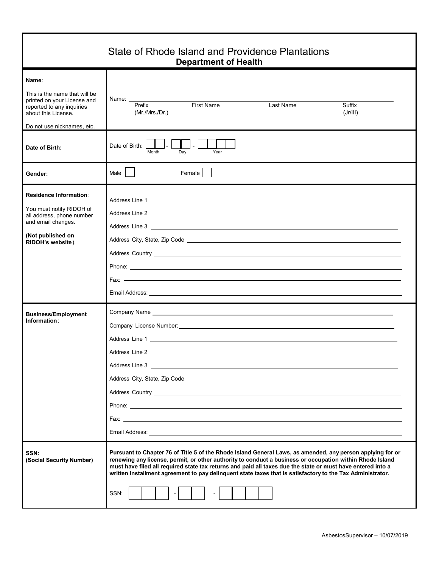| State of Rhode Island and Providence Plantations<br><b>Department of Health</b>                                                                         |                                                                                                                                                                                                                                                                                                                                                                                                                                                                                                                                                                                                               |  |  |  |
|---------------------------------------------------------------------------------------------------------------------------------------------------------|---------------------------------------------------------------------------------------------------------------------------------------------------------------------------------------------------------------------------------------------------------------------------------------------------------------------------------------------------------------------------------------------------------------------------------------------------------------------------------------------------------------------------------------------------------------------------------------------------------------|--|--|--|
| Name:<br>This is the name that will be<br>printed on your License and<br>reported to any inquiries<br>about this License.<br>Do not use nicknames, etc. | Name: __<br>Prefix<br><b>First Name</b><br>Last Name<br>Suffix<br>(Mr./Mrs./Dr.)<br>(Jr/III)                                                                                                                                                                                                                                                                                                                                                                                                                                                                                                                  |  |  |  |
| Date of Birth:                                                                                                                                          | $\mathbb{R}^{\mathbb{Z}^2}$<br>Date of Birth:<br>Month<br>Dav<br>Year                                                                                                                                                                                                                                                                                                                                                                                                                                                                                                                                         |  |  |  |
| Gender:                                                                                                                                                 | Male  <br>Female                                                                                                                                                                                                                                                                                                                                                                                                                                                                                                                                                                                              |  |  |  |
| <b>Residence Information:</b><br>You must notify RIDOH of<br>all address, phone number<br>and email changes.<br>(Not published on<br>RIDOH's website).  | Address Country <u>example and the contract of the contract of the contract of the contract of the contract of the contract of the contract of the contract of the contract of the contract of the contract of the contract of t</u><br>Phone: <u>example</u> and the contract of the contract of the contract of the contract of the contract of the contract of the contract of the contract of the contract of the contract of the contract of the contract of the contr<br>Email Address: <u>Communication</u> Communication of the Communication Communication Communication Communication Communication |  |  |  |
| <b>Business/Employment</b><br>Information:                                                                                                              | Address Country <u>New York: New York: New York: New York: New York: New York: New York: New York: New York: New York: New York: New York: New York: New York: New York: New York: New York: New York: New York: New York: New Y</u>                                                                                                                                                                                                                                                                                                                                                                          |  |  |  |
| SSN:<br>(Social Security Number)                                                                                                                        | Pursuant to Chapter 76 of Title 5 of the Rhode Island General Laws, as amended, any person applying for or<br>renewing any license, permit, or other authority to conduct a business or occupation within Rhode Island<br>must have filed all required state tax returns and paid all taxes due the state or must have entered into a<br>written installment agreement to pay delinguent state taxes that is satisfactory to the Tax Administrator.<br>SSN:<br>$\overline{\phantom{a}}$                                                                                                                       |  |  |  |